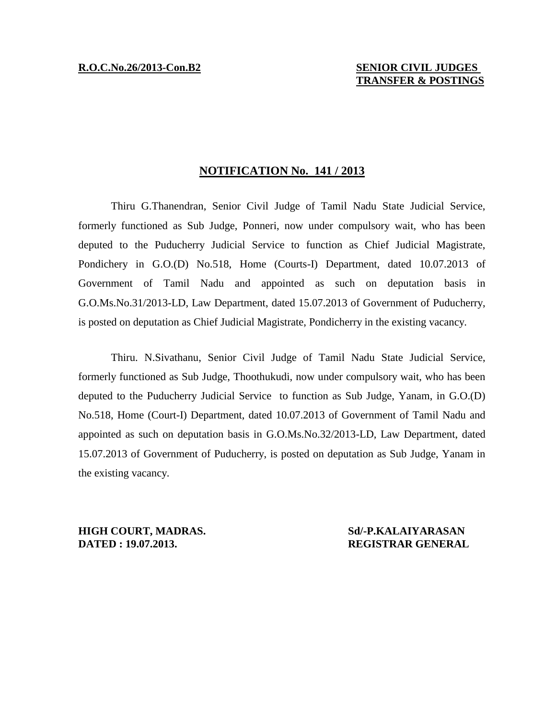## **NOTIFICATION No. 141 / 2013**

Thiru G.Thanendran, Senior Civil Judge of Tamil Nadu State Judicial Service, formerly functioned as Sub Judge, Ponneri, now under compulsory wait, who has been deputed to the Puducherry Judicial Service to function as Chief Judicial Magistrate, Pondichery in G.O.(D) No.518, Home (Courts-I) Department, dated 10.07.2013 of Government of Tamil Nadu and appointed as such on deputation basis in G.O.Ms.No.31/2013-LD, Law Department, dated 15.07.2013 of Government of Puducherry, is posted on deputation as Chief Judicial Magistrate, Pondicherry in the existing vacancy.

Thiru. N.Sivathanu, Senior Civil Judge of Tamil Nadu State Judicial Service, formerly functioned as Sub Judge, Thoothukudi, now under compulsory wait, who has been deputed to the Puducherry Judicial Service to function as Sub Judge, Yanam, in G.O.(D) No.518, Home (Court-I) Department, dated 10.07.2013 of Government of Tamil Nadu and appointed as such on deputation basis in G.O.Ms.No.32/2013-LD, Law Department, dated 15.07.2013 of Government of Puducherry, is posted on deputation as Sub Judge, Yanam in the existing vacancy.

**HIGH COURT, MADRAS. Sd/-P.KALAIYARASAN DATED : 19.07.2013. REGISTRAR GENERAL**